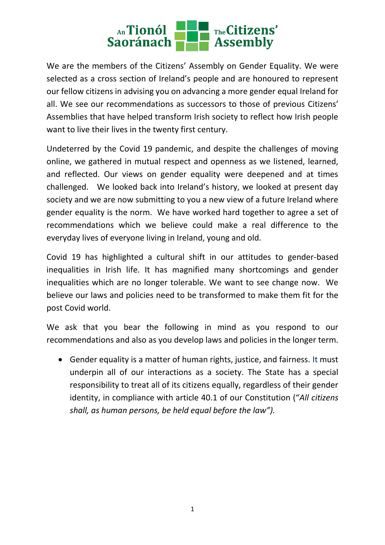

We are the members of the Citizens' Assembly on Gender Equality. We were selected as a cross section of Ireland's people and are honoured to represent our fellow citizens in advising you on advancing a more gender equal Ireland for all. We see our recommendations as successors to those of previous Citizens' Assemblies that have helped transform Irish society to reflect how Irish people want to live their lives in the twenty first century.

Undeterred by the Covid 19 pandemic, and despite the challenges of moving online, we gathered in mutual respect and openness as we listened, learned, and reflected. Our views on gender equality were deepened and at times challenged. We looked back into Ireland's history, we looked at present day society and we are now submitting to you a new view of a future Ireland where gender equality is the norm. We have worked hard together to agree a set of recommendations which we believe could make a real difference to the everyday lives of everyone living in Ireland, young and old.

Covid 19 has highlighted a cultural shift in our attitudes to gender-based inequalities in Irish life. It has magnified many shortcomings and gender inequalities which are no longer tolerable. We want to see change now. We believe our laws and policies need to be transformed to make them fit for the post Covid world.

We ask that you bear the following in mind as you respond to our recommendations and also as you develop laws and policies in the longer term.

 Gender equality is a matter of human rights, justice, and fairness. It must underpin all of our interactions as a society. The State has a special responsibility to treat all of its citizens equally, regardless of their gender identity, in compliance with article 40.1 of our Constitution ("*All citizens shall, as human persons, be held equal before the law").*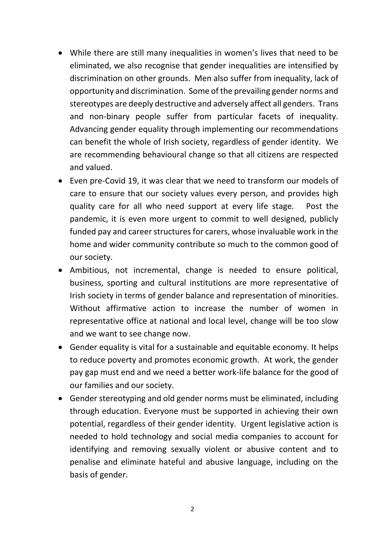- While there are still many inequalities in women's lives that need to be eliminated, we also recognise that gender inequalities are intensified by discrimination on other grounds. Men also suffer from inequality, lack of opportunity and discrimination. Some of the prevailing gender norms and stereotypes are deeply destructive and adversely affect all genders. Trans and non-binary people suffer from particular facets of inequality. Advancing gender equality through implementing our recommendations can benefit the whole of Irish society, regardless of gender identity. We are recommending behavioural change so that all citizens are respected and valued.
- Even pre-Covid 19, it was clear that we need to transform our models of care to ensure that our society values every person, and provides high quality care for all who need support at every life stage. Post the pandemic, it is even more urgent to commit to well designed, publicly funded pay and career structures for carers, whose invaluable work in the home and wider community contribute so much to the common good of our society.
- Ambitious, not incremental, change is needed to ensure political, business, sporting and cultural institutions are more representative of Irish society in terms of gender balance and representation of minorities. Without affirmative action to increase the number of women in representative office at national and local level, change will be too slow and we want to see change now.
- Gender equality is vital for a sustainable and equitable economy. It helps to reduce poverty and promotes economic growth. At work, the gender pay gap must end and we need a better work-life balance for the good of our families and our society.
- Gender stereotyping and old gender norms must be eliminated, including through education. Everyone must be supported in achieving their own potential, regardless of their gender identity. Urgent legislative action is needed to hold technology and social media companies to account for identifying and removing sexually violent or abusive content and to penalise and eliminate hateful and abusive language, including on the basis of gender.